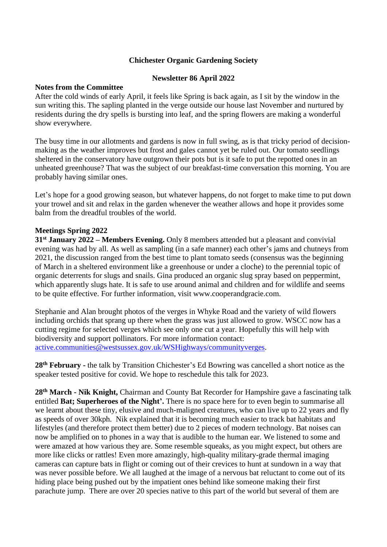### **Chichester Organic Gardening Society**

### **Newsletter 86 April 2022**

#### **Notes from the Committee**

After the cold winds of early April, it feels like Spring is back again, as I sit by the window in the sun writing this. The sapling planted in the verge outside our house last November and nurtured by residents during the dry spells is bursting into leaf, and the spring flowers are making a wonderful show everywhere.

The busy time in our allotments and gardens is now in full swing, as is that tricky period of decisionmaking as the weather improves but frost and gales cannot yet be ruled out. Our tomato seedlings sheltered in the conservatory have outgrown their pots but is it safe to put the repotted ones in an unheated greenhouse? That was the subject of our breakfast-time conversation this morning. You are probably having similar ones.

Let's hope for a good growing season, but whatever happens, do not forget to make time to put down your trowel and sit and relax in the garden whenever the weather allows and hope it provides some balm from the dreadful troubles of the world.

### **Meetings Spring 2022**

**31st January 2022 – Members Evening.** Only 8 members attended but a pleasant and convivial evening was had by all. As well as sampling (in a safe manner) each other's jams and chutneys from 2021, the discussion ranged from the best time to plant tomato seeds (consensus was the beginning of March in a sheltered environment like a greenhouse or under a cloche) to the perennial topic of organic deterrents for slugs and snails. Gina produced an organic slug spray based on peppermint, which apparently slugs hate. It is safe to use around animal and children and for wildlife and seems to be quite effective. For further information, visit www.cooperandgracie.com.

Stephanie and Alan brought photos of the verges in Whyke Road and the variety of wild flowers including orchids that sprang up there when the grass was just allowed to grow. WSCC now has a cutting regime for selected verges which see only one cut a year. Hopefully this will help with biodiversity and support pollinators. For more information contact: [active.communities@westsussex.gov.uk/WSHighways/communityverges.](mailto:active.communities@westsussex.gov.uk/WSHighways/communityverges)

**28th February -** the talk by Transition Chichester's Ed Bowring was cancelled a short notice as the speaker tested positive for covid. We hope to reschedule this talk for 2023.

**28th March - Nik Knight,** Chairman and County Bat Recorder for Hampshire gave a fascinating talk entitled **Bat; Superheroes of the Night'.** There is no space here for to even begin to summarise all we learnt about these tiny, elusive and much-maligned creatures, who can live up to 22 years and fly as speeds of over 30kph. Nik explained that it is becoming much easier to track bat habitats and lifestyles (and therefore protect them better) due to 2 pieces of modern technology. Bat noises can now be amplified on to phones in a way that is audible to the human ear. We listened to some and were amazed at how various they are. Some resemble squeaks, as you might expect, but others are more like clicks or rattles! Even more amazingly, high-quality military-grade thermal imaging cameras can capture bats in flight or coming out of their crevices to hunt at sundown in a way that was never possible before. We all laughed at the image of a nervous bat reluctant to come out of its hiding place being pushed out by the impatient ones behind like someone making their first parachute jump. There are over 20 species native to this part of the world but several of them are